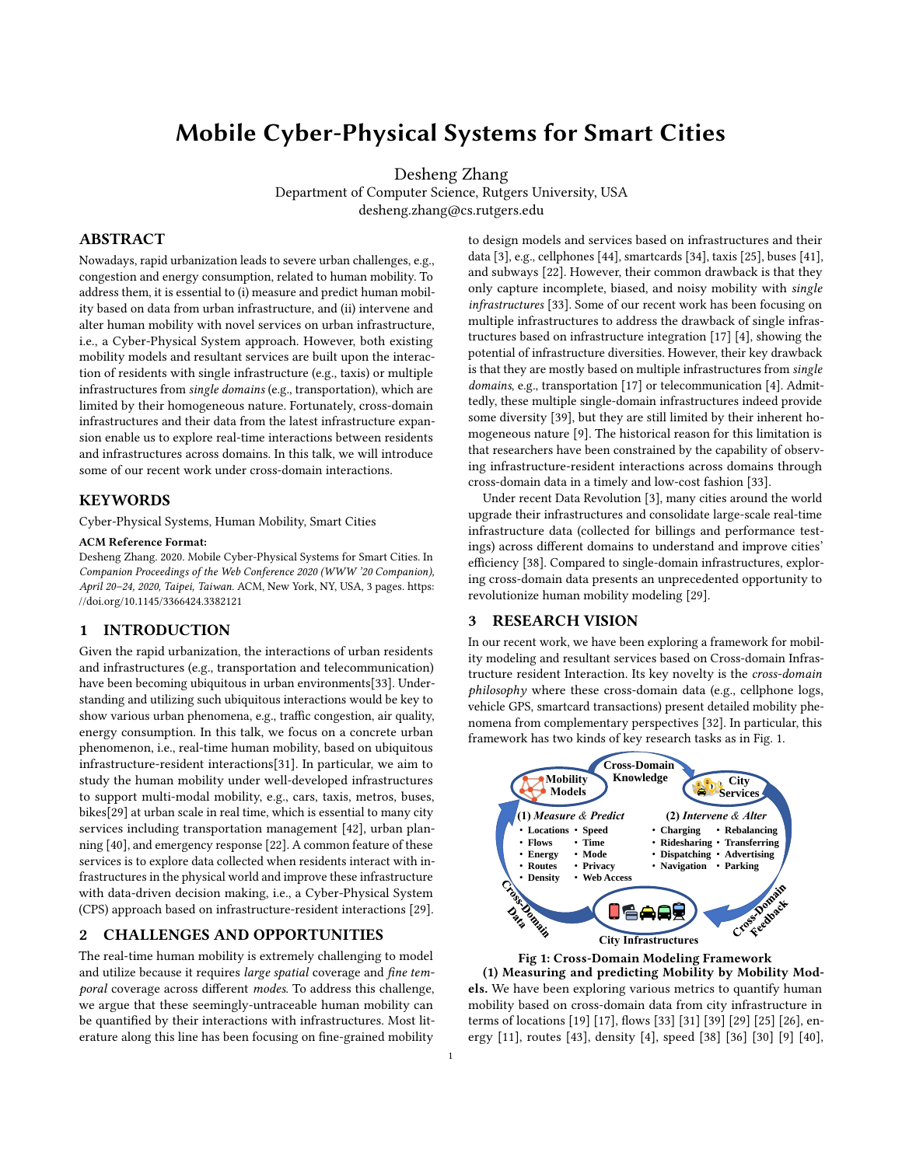# Mobile Cyber-Physical Systems for Smart Cities

Desheng Zhang

Department of Computer Science, Rutgers University, USA desheng.zhang@cs.rutgers.edu

## ABSTRACT

Nowadays, rapid urbanization leads to severe urban challenges, e.g., congestion and energy consumption, related to human mobility. To address them, it is essential to (i) measure and predict human mobility based on data from urban infrastructure, and (ii) intervene and alter human mobility with novel services on urban infrastructure, i.e., a Cyber-Physical System approach. However, both existing mobility models and resultant services are built upon the interaction of residents with single infrastructure (e.g., taxis) or multiple infrastructures from single domains (e.g., transportation), which are limited by their homogeneous nature. Fortunately, cross-domain infrastructures and their data from the latest infrastructure expansion enable us to explore real-time interactions between residents and infrastructures across domains. In this talk, we will introduce some of our recent work under cross-domain interactions.

### KEYWORDS

Cyber-Physical Systems, Human Mobility, Smart Cities

#### ACM Reference Format:

Desheng Zhang. 2020. Mobile Cyber-Physical Systems for Smart Cities. In Companion Proceedings of the Web Conference 2020 (WWW '20 Companion), April 20–24, 2020, Taipei, Taiwan. ACM, New York, NY, USA, [3](#page-2-0) pages. [https:](https://doi.org/10.1145/3366424.3382121) [//doi.org/10.1145/3366424.3382121](https://doi.org/10.1145/3366424.3382121)

## 1 INTRODUCTION

Given the rapid urbanization, the interactions of urban residents and infrastructures (e.g., transportation and telecommunication) have been becoming ubiquitous in urban environments[\[33\]](#page-1-0). Understanding and utilizing such ubiquitous interactions would be key to show various urban phenomena, e.g., traffic congestion, air quality, energy consumption. In this talk, we focus on a concrete urban phenomenon, i.e., real-time human mobility, based on ubiquitous infrastructure-resident interactions[\[31\]](#page-1-1). In particular, we aim to study the human mobility under well-developed infrastructures to support multi-modal mobility, e.g., cars, taxis, metros, buses, bikes[\[29\]](#page-1-2) at urban scale in real time, which is essential to many city services including transportation management [\[42\]](#page-2-1), urban planning [\[40\]](#page-2-2), and emergency response [\[22\]](#page-1-3). A common feature of these services is to explore data collected when residents interact with infrastructures in the physical world and improve these infrastructure with data-driven decision making, i.e., a Cyber-Physical System (CPS) approach based on infrastructure-resident interactions [\[29\]](#page-1-2).

#### 2 CHALLENGES AND OPPORTUNITIES

The real-time human mobility is extremely challenging to model and utilize because it requires large spatial coverage and fine temporal coverage across different modes. To address this challenge, we argue that these seemingly-untraceable human mobility can be quantified by their interactions with infrastructures. Most literature along this line has been focusing on fine-grained mobility to design models and services based on infrastructures and their data [\[3\]](#page-1-4), e.g., cellphones [\[44\]](#page-2-3), smartcards [\[34\]](#page-1-5), taxis [\[25\]](#page-1-6), buses [\[41\]](#page-2-4), and subways [\[22\]](#page-1-3). However, their common drawback is that they only capture incomplete, biased, and noisy mobility with single infrastructures [\[33\]](#page-1-0). Some of our recent work has been focusing on multiple infrastructures to address the drawback of single infrastructures based on infrastructure integration [\[17\]](#page-1-7) [\[4\]](#page-1-8), showing the potential of infrastructure diversities. However, their key drawback is that they are mostly based on multiple infrastructures from single domains, e.g., transportation [\[17\]](#page-1-7) or telecommunication [\[4\]](#page-1-8). Admittedly, these multiple single-domain infrastructures indeed provide some diversity [\[39\]](#page-2-5), but they are still limited by their inherent homogeneous nature [\[9\]](#page-1-9). The historical reason for this limitation is that researchers have been constrained by the capability of observing infrastructure-resident interactions across domains through cross-domain data in a timely and low-cost fashion [\[33\]](#page-1-0).

Under recent Data Revolution [\[3\]](#page-1-4), many cities around the world upgrade their infrastructures and consolidate large-scale real-time infrastructure data (collected for billings and performance testings) across different domains to understand and improve cities' efficiency [\[38\]](#page-2-6). Compared to single-domain infrastructures, exploring cross-domain data presents an unprecedented opportunity to revolutionize human mobility modeling [\[29\]](#page-1-2).

## 3 RESEARCH VISION

In our recent work, we have been exploring a framework for mobility modeling and resultant services based on Cross-domain Infrastructure resident Interaction. Its key novelty is the cross-domain  $philosophy$  where these cross-domain data (e.g., cellphone logs, vehicle GPS, smartcard transactions) present detailed mobility phenomena from complementary perspectives [\[32\]](#page-1-10). In particular, this framework has two kinds of key research tasks as in Fig. [1.](#page-0-0)

<span id="page-0-0"></span>



(1) Measuring and predicting Mobility by Mobility Models. We have been exploring various metrics to quantify human mobility based on cross-domain data from city infrastructure in terms of locations [\[19\]](#page-1-11) [\[17\]](#page-1-7), flows [\[33\]](#page-1-0) [\[31\]](#page-1-1) [\[39\]](#page-2-5) [\[29\]](#page-1-2) [\[25\]](#page-1-6) [\[26\]](#page-1-12), energy [\[11\]](#page-1-13), routes [\[43\]](#page-2-7), density [\[4\]](#page-1-8), speed [\[38\]](#page-2-6) [\[36\]](#page-1-14) [\[30\]](#page-1-15) [\[9\]](#page-1-9) [\[40\]](#page-2-2),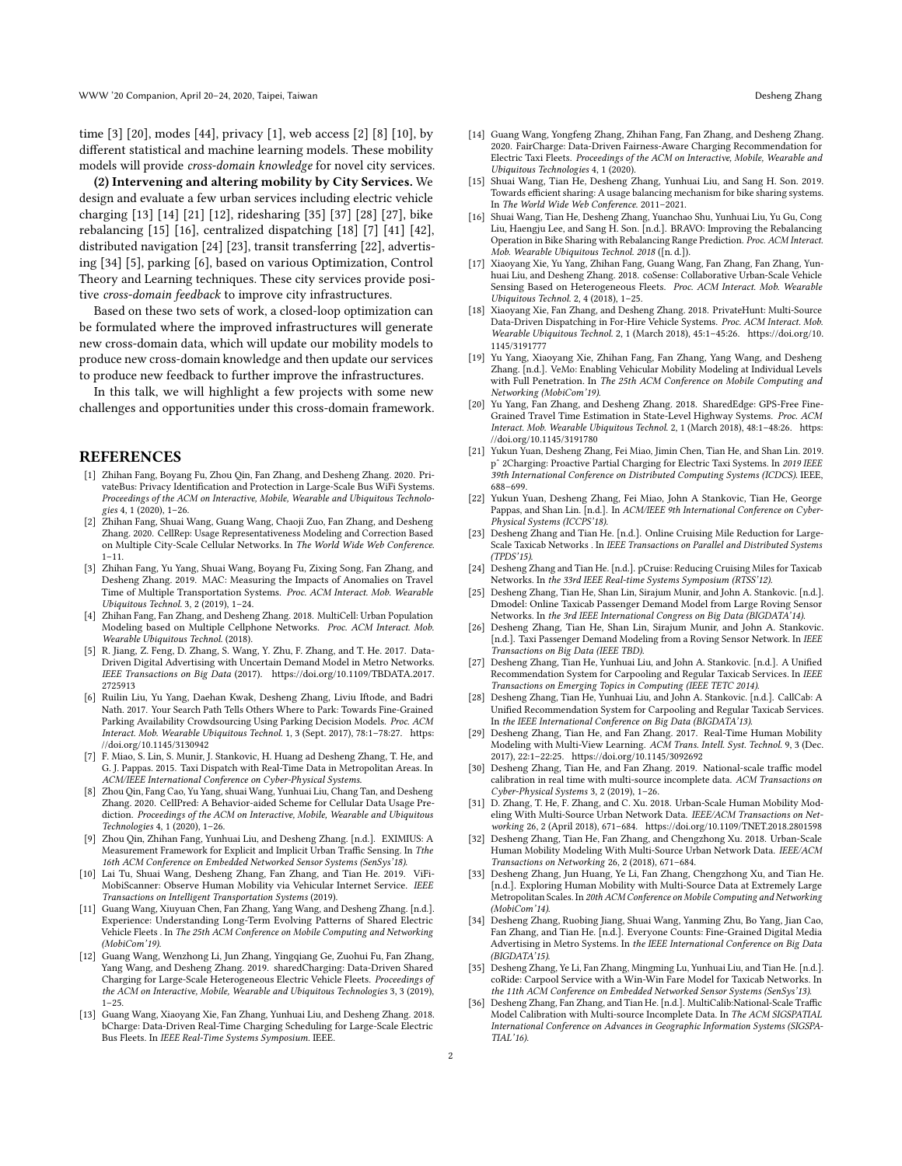time [\[3\]](#page-1-4) [\[20\]](#page-1-16), modes [\[44\]](#page-2-3), privacy [\[1\]](#page-1-17), web access [\[2\]](#page-1-18) [\[8\]](#page-1-19) [\[10\]](#page-1-20), by different statistical and machine learning models. These mobility models will provide cross-domain knowledge for novel city services.

(2) Intervening and altering mobility by City Services. We design and evaluate a few urban services including electric vehicle charging [\[13\]](#page-1-21) [\[14\]](#page-1-22) [\[21\]](#page-1-23) [\[12\]](#page-1-24), ridesharing [\[35\]](#page-1-25) [\[37\]](#page-2-8) [\[28\]](#page-1-26) [\[27\]](#page-1-27), bike rebalancing [\[15\]](#page-1-28) [\[16\]](#page-1-29), centralized dispatching [\[18\]](#page-1-30) [\[7\]](#page-1-31) [\[41\]](#page-2-4) [\[42\]](#page-2-1), distributed navigation [\[24\]](#page-1-32) [\[23\]](#page-1-33), transit transferring [\[22\]](#page-1-3), advertising [\[34\]](#page-1-5) [\[5\]](#page-1-34), parking [\[6\]](#page-1-35), based on various Optimization, Control Theory and Learning techniques. These city services provide positive cross-domain feedback to improve city infrastructures.

Based on these two sets of work, a closed-loop optimization can be formulated where the improved infrastructures will generate new cross-domain data, which will update our mobility models to produce new cross-domain knowledge and then update our services to produce new feedback to further improve the infrastructures.

In this talk, we will highlight a few projects with some new challenges and opportunities under this cross-domain framework.

#### REFERENCES

- <span id="page-1-17"></span>[1] Zhihan Fang, Boyang Fu, Zhou Qin, Fan Zhang, and Desheng Zhang. 2020. PrivateBus: Privacy Identification and Protection in Large-Scale Bus WiFi Systems. Proceedings of the ACM on Interactive, Mobile, Wearable and Ubiquitous Technologies 4, 1 (2020), 1–26.
- <span id="page-1-18"></span>[2] Zhihan Fang, Shuai Wang, Guang Wang, Chaoji Zuo, Fan Zhang, and Desheng Zhang. 2020. CellRep: Usage Representativeness Modeling and Correction Based on Multiple City-Scale Cellular Networks. In The World Wide Web Conference. 1–11.
- <span id="page-1-4"></span>[3] Zhihan Fang, Yu Yang, Shuai Wang, Boyang Fu, Zixing Song, Fan Zhang, and Desheng Zhang. 2019. MAC: Measuring the Impacts of Anomalies on Travel Time of Multiple Transportation Systems. Proc. ACM Interact. Mob. Wearable Ubiquitous Technol. 3, 2 (2019), 1–24.
- <span id="page-1-8"></span>[4] Zhihan Fang, Fan Zhang, and Desheng Zhang. 2018. MultiCell: Urban Population Modeling based on Multiple Cellphone Networks. Proc. ACM Interact. Mob. Wearable Ubiquitous Technol. (2018).
- <span id="page-1-34"></span>[5] R. Jiang, Z. Feng, D. Zhang, S. Wang, Y. Zhu, F. Zhang, and T. He. 2017. Data-Driven Digital Advertising with Uncertain Demand Model in Metro Networks. IEEE Transactions on Big Data (2017). [https://doi.org/10.1109/TBDATA.2017.](https://doi.org/10.1109/TBDATA.2017.2725913) [2725913](https://doi.org/10.1109/TBDATA.2017.2725913)
- <span id="page-1-35"></span>[6] Ruilin Liu, Yu Yang, Daehan Kwak, Desheng Zhang, Liviu Iftode, and Badri Nath. 2017. Your Search Path Tells Others Where to Park: Towards Fine-Grained Parking Availability Crowdsourcing Using Parking Decision Models. Proc. ACM Interact. Mob. Wearable Ubiquitous Technol. 1, 3 (Sept. 2017), 78:1–78:27. [https:](https://doi.org/10.1145/3130942) [//doi.org/10.1145/3130942](https://doi.org/10.1145/3130942)
- <span id="page-1-31"></span>[7] F. Miao, S. Lin, S. Munir, J. Stankovic, H. Huang ad Desheng Zhang, T. He, and G. J. Pappas. 2015. Taxi Dispatch with Real-Time Data in Metropolitan Areas. In ACM/IEEE International Conference on Cyber-Physical Systems.
- <span id="page-1-19"></span>[8] Zhou Qin, Fang Cao, Yu Yang, shuai Wang, Yunhuai Liu, Chang Tan, and Desheng Zhang. 2020. CellPred: A Behavior-aided Scheme for Cellular Data Usage Prediction. Proceedings of the ACM on Interactive, Mobile, Wearable and Ubiquitous Technologies 4, 1 (2020), 1–26.
- <span id="page-1-9"></span>[9] Zhou Qin, Zhihan Fang, Yunhuai Liu, and Desheng Zhang. [n.d.]. EXIMIUS: A Measurement Framework for Explicit and Implicit Urban Traffic Sensing. In Tthe 16th ACM Conference on Embedded Networked Sensor Systems (SenSys'18).
- <span id="page-1-20"></span>[10] Lai Tu, Shuai Wang, Desheng Zhang, Fan Zhang, and Tian He. 2019. ViFi-MobiScanner: Observe Human Mobility via Vehicular Internet Service. IEEE Transactions on Intelligent Transportation Systems (2019).
- <span id="page-1-13"></span>[11] Guang Wang, Xiuyuan Chen, Fan Zhang, Yang Wang, and Desheng Zhang. [n.d.]. Experience: Understanding Long-Term Evolving Patterns of Shared Electric Vehicle Fleets . In The 25th ACM Conference on Mobile Computing and Networking (MobiCom'19).
- <span id="page-1-24"></span>[12] Guang Wang, Wenzhong Li, Jun Zhang, Yingqiang Ge, Zuohui Fu, Fan Zhang, Yang Wang, and Desheng Zhang. 2019. sharedCharging: Data-Driven Shared Charging for Large-Scale Heterogeneous Electric Vehicle Fleets. Proceedings of the ACM on Interactive, Mobile, Wearable and Ubiquitous Technologies 3, 3 (2019), 1–25.
- <span id="page-1-21"></span>[13] Guang Wang, Xiaoyang Xie, Fan Zhang, Yunhuai Liu, and Desheng Zhang. 2018. bCharge: Data-Driven Real-Time Charging Scheduling for Large-Scale Electric Bus Fleets. In IEEE Real-Time Systems Symposium. IEEE.
- <span id="page-1-22"></span>[14] Guang Wang, Yongfeng Zhang, Zhihan Fang, Fan Zhang, and Desheng Zhang. 2020. FairCharge: Data-Driven Fairness-Aware Charging Recommendation for Electric Taxi Fleets. Proceedings of the ACM on Interactive, Mobile, Wearable and Ubiquitous Technologies 4, 1 (2020).
- <span id="page-1-28"></span>[15] Shuai Wang, Tian He, Desheng Zhang, Yunhuai Liu, and Sang H. Son. 2019. Towards efficient sharing: A usage balancing mechanism for bike sharing systems. In The World Wide Web Conference. 2011–2021.
- <span id="page-1-29"></span>[16] Shuai Wang, Tian He, Desheng Zhang, Yuanchao Shu, Yunhuai Liu, Yu Gu, Cong Liu, Haengju Lee, and Sang H. Son. [n.d.]. BRAVO: Improving the Rebalancing Operation in Bike Sharing with Rebalancing Range Prediction. Proc. ACM Interact. Mob. Wearable Ubiquitous Technol. 2018 ([n. d.]).
- <span id="page-1-7"></span>[17] Xiaoyang Xie, Yu Yang, Zhihan Fang, Guang Wang, Fan Zhang, Fan Zhang, Yunhuai Liu, and Desheng Zhang. 2018. coSense: Collaborative Urban-Scale Vehicle Sensing Based on Heterogeneous Fleets. Proc. ACM Interact. Mob. Wearable Ubiquitous Technol. 2, 4 (2018), 1–25.
- <span id="page-1-30"></span>[18] Xiaoyang Xie, Fan Zhang, and Desheng Zhang. 2018. PrivateHunt: Multi-Source Data-Driven Dispatching in For-Hire Vehicle Systems. Proc. ACM Interact. Mob. Wearable Ubiquitous Technol. 2, 1 (March 2018), 45:1–45:26. [https://doi.org/10.](https://doi.org/10.1145/3191777) [1145/3191777](https://doi.org/10.1145/3191777)
- <span id="page-1-11"></span>[19] Yu Yang, Xiaoyang Xie, Zhihan Fang, Fan Zhang, Yang Wang, and Desheng Zhang. [n.d.]. VeMo: Enabling Vehicular Mobility Modeling at Individual Levels with Full Penetration. In The 25th ACM Conference on Mobile Computing and Networking (MobiCom'19).
- <span id="page-1-16"></span>[20] Yu Yang, Fan Zhang, and Desheng Zhang. 2018. SharedEdge: GPS-Free Fine-Grained Travel Time Estimation in State-Level Highway Systems. Proc. ACM Interact. Mob. Wearable Ubiquitous Technol. 2, 1 (March 2018), 48:1–48:26. [https:](https://doi.org/10.1145/3191780) [//doi.org/10.1145/3191780](https://doi.org/10.1145/3191780)
- <span id="page-1-23"></span>[21] Yukun Yuan, Desheng Zhang, Fei Miao, Jimin Chen, Tian He, and Shan Lin. 2019. pˆ 2Charging: Proactive Partial Charging for Electric Taxi Systems. In 2019 IEEE 39th International Conference on Distributed Computing Systems (ICDCS). IEEE, 688–699.
- <span id="page-1-3"></span>[22] Yukun Yuan, Desheng Zhang, Fei Miao, John A Stankovic, Tian He, George Pappas, and Shan Lin. [n.d.]. In ACM/IEEE 9th International Conference on Cyber-Physical Systems (ICCPS'18).
- <span id="page-1-33"></span>[23] Desheng Zhang and Tian He. [n.d.]. Online Cruising Mile Reduction for Large-Scale Taxicab Networks . In IEEE Transactions on Parallel and Distributed Systems (TPDS'15).
- <span id="page-1-32"></span>[24] Desheng Zhang and Tian He. [n.d.]. pCruise: Reducing Cruising Miles for Taxicab Networks. In the 33rd IEEE Real-time Systems Symposium (RTSS'12).
- <span id="page-1-6"></span>[25] Desheng Zhang, Tian He, Shan Lin, Sirajum Munir, and John A. Stankovic. [n.d.]. Dmodel: Online Taxicab Passenger Demand Model from Large Roving Sensor Networks. In the 3rd IEEE International Congress on Big Data (BIGDATA'14).
- <span id="page-1-12"></span>[26] Desheng Zhang, Tian He, Shan Lin, Sirajum Munir, and John A. Stankovic. [n.d.]. Taxi Passenger Demand Modeling from a Roving Sensor Network. In IEEE Transactions on Big Data (IEEE TBD).
- <span id="page-1-27"></span>[27] Desheng Zhang, Tian He, Yunhuai Liu, and John A. Stankovic. [n.d.]. A Unified Recommendation System for Carpooling and Regular Taxicab Services. In IEEE Transactions on Emerging Topics in Computing (IEEE TETC 2014).
- <span id="page-1-26"></span>[28] Desheng Zhang, Tian He, Yunhuai Liu, and John A. Stankovic. [n.d.]. CallCab: A Unified Recommendation System for Carpooling and Regular Taxicab Services. In the IEEE International Conference on Big Data (BIGDATA'13).
- <span id="page-1-2"></span>[29] Desheng Zhang, Tian He, and Fan Zhang. 2017. Real-Time Human Mobility Modeling with Multi-View Learning. ACM Trans. Intell. Syst. Technol. 9, 3 (Dec. 2017), 22:1–22:25.<https://doi.org/10.1145/3092692>
- <span id="page-1-15"></span>[30] Desheng Zhang, Tian He, and Fan Zhang. 2019. National-scale traffic model calibration in real time with multi-source incomplete data. ACM Transactions on Cyber-Physical Systems 3, 2 (2019), 1–26.
- <span id="page-1-1"></span>[31] D. Zhang, T. He, F. Zhang, and C. Xu. 2018. Urban-Scale Human Mobility Modeling With Multi-Source Urban Network Data. IEEE/ACM Transactions on Networking 26, 2 (April 2018), 671–684.<https://doi.org/10.1109/TNET.2018.2801598>
- <span id="page-1-10"></span>[32] Desheng Zhang, Tian He, Fan Zhang, and Chengzhong Xu. 2018. Urban-Scale Human Mobility Modeling With Multi-Source Urban Network Data. IEEE/ACM Transactions on Networking 26, 2 (2018), 671–684.
- <span id="page-1-0"></span>[33] Desheng Zhang, Jun Huang, Ye Li, Fan Zhang, Chengzhong Xu, and Tian He. [n.d.]. Exploring Human Mobility with Multi-Source Data at Extremely Large Metropolitan Scales. In 20th ACM Conference on Mobile Computing and Networking (MobiCom'14).
- <span id="page-1-5"></span>[34] Desheng Zhang, Ruobing Jiang, Shuai Wang, Yanming Zhu, Bo Yang, Jian Cao, Fan Zhang, and Tian He. [n.d.]. Everyone Counts: Fine-Grained Digital Media Advertising in Metro Systems. In the IEEE International Conference on Big Data (BIGDATA'15).
- <span id="page-1-25"></span>[35] Desheng Zhang, Ye Li, Fan Zhang, Mingming Lu, Yunhuai Liu, and Tian He. [n.d.]. coRide: Carpool Service with a Win-Win Fare Model for Taxicab Networks. In the 11th ACM Conference on Embedded Networked Sensor Systems (SenSys'13).
- <span id="page-1-14"></span>[36] Desheng Zhang, Fan Zhang, and Tian He. [n.d.]. MultiCalib:National-Scale Traffic Model Calibration with Multi-source Incomplete Data. In The ACM SIGSPATIAL International Conference on Advances in Geographic Information Systems (SIGSPA-TIAL'16).